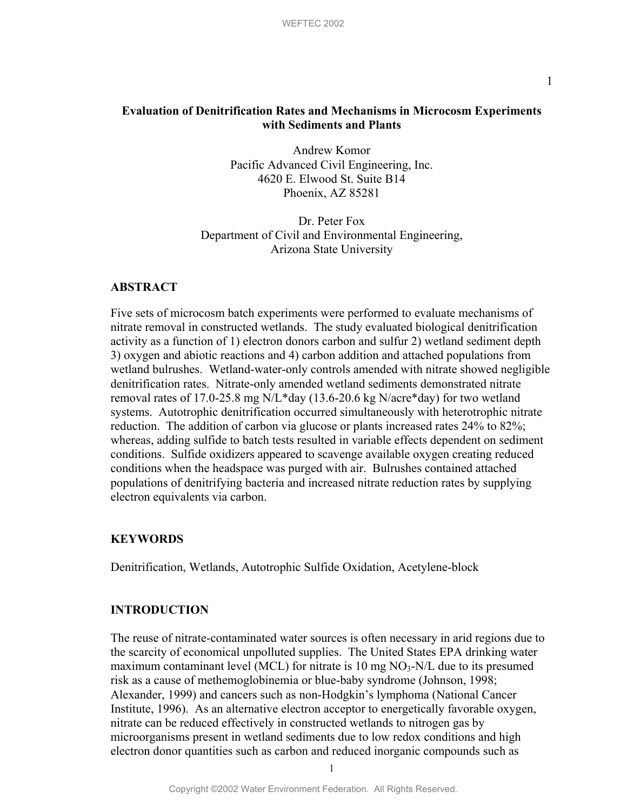# **Evaluation of Denitrification Rates and Mechanisms in Microcosm Experiments with Sediments and Plants**

Andrew Komor Pacific Advanced Civil Engineering, Inc. 4620 E. Elwood St. Suite B14 Phoenix, AZ 85281

Dr. Peter Fox Department of Civil and Environmental Engineering, Arizona State University

## **ABSTRACT**

Five sets of microcosm batch experiments were performed to evaluate mechanisms of nitrate removal in constructed wetlands. The study evaluated biological denitrification activity as a function of 1) electron donors carbon and sulfur 2) wetland sediment depth 3) oxygen and abiotic reactions and 4) carbon addition and attached populations from wetland bulrushes. Wetland-water-only controls amended with nitrate showed negligible denitrification rates. Nitrate-only amended wetland sediments demonstrated nitrate removal rates of 17.0-25.8 mg N/L\*day (13.6-20.6 kg N/acre\*day) for two wetland systems. Autotrophic denitrification occurred simultaneously with heterotrophic nitrate reduction. The addition of carbon via glucose or plants increased rates 24% to 82%; whereas, adding sulfide to batch tests resulted in variable effects dependent on sediment conditions. Sulfide oxidizers appeared to scavenge available oxygen creating reduced conditions when the headspace was purged with air. Bulrushes contained attached populations of denitrifying bacteria and increased nitrate reduction rates by supplying electron equivalents via carbon.

## **KEYWORDS**

Denitrification, Wetlands, Autotrophic Sulfide Oxidation, Acetylene-block

# **INTRODUCTION**

The reuse of nitrate-contaminated water sources is often necessary in arid regions due to the scarcity of economical unpolluted supplies. The United States EPA drinking water maximum contaminant level (MCL) for nitrate is 10 mg  $NO<sub>3</sub>-N/L$  due to its presumed risk as a cause of methemoglobinemia or blue-baby syndrome (Johnson, 1998; Alexander, 1999) and cancers such as non-Hodgkin's lymphoma (National Cancer Institute, 1996). As an alternative electron acceptor to energetically favorable oxygen, nitrate can be reduced effectively in constructed wetlands to nitrogen gas by microorganisms present in wetland sediments due to low redox conditions and high electron donor quantities such as carbon and reduced inorganic compounds such as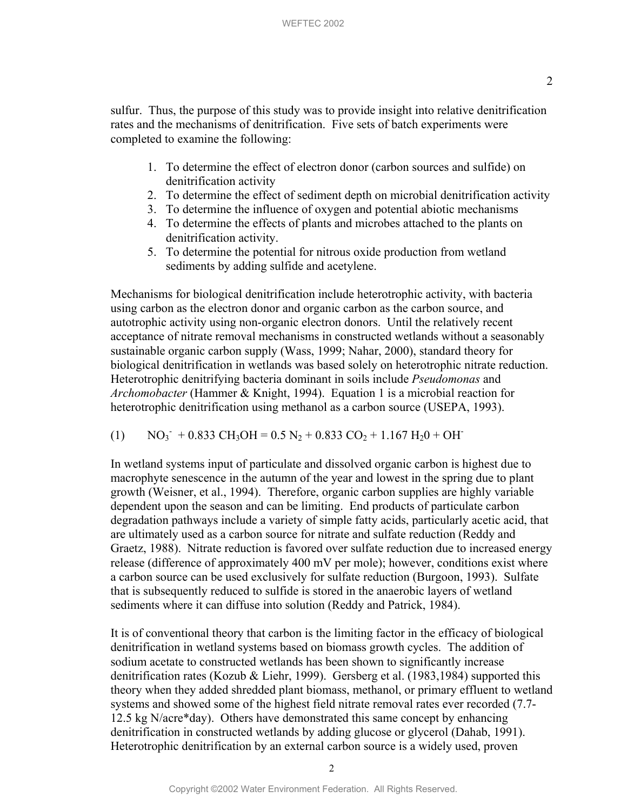- 1. To determine the effect of electron donor (carbon sources and sulfide) on denitrification activity
- 2. To determine the effect of sediment depth on microbial denitrification activity
- 3. To determine the influence of oxygen and potential abiotic mechanisms
- 4. To determine the effects of plants and microbes attached to the plants on denitrification activity.
- 5. To determine the potential for nitrous oxide production from wetland sediments by adding sulfide and acetylene.

Mechanisms for biological denitrification include heterotrophic activity, with bacteria using carbon as the electron donor and organic carbon as the carbon source, and autotrophic activity using non-organic electron donors. Until the relatively recent acceptance of nitrate removal mechanisms in constructed wetlands without a seasonably sustainable organic carbon supply (Wass, 1999; Nahar, 2000), standard theory for biological denitrification in wetlands was based solely on heterotrophic nitrate reduction. Heterotrophic denitrifying bacteria dominant in soils include *Pseudomonas* and *Archomobacter* (Hammer & Knight, 1994). Equation 1 is a microbial reaction for heterotrophic denitrification using methanol as a carbon source (USEPA, 1993).

(1) NO3 - + 0.833 CH3OH = 0.5 N2 + 0.833 CO2 + 1.167 H20 + OH-

In wetland systems input of particulate and dissolved organic carbon is highest due to macrophyte senescence in the autumn of the year and lowest in the spring due to plant growth (Weisner, et al., 1994). Therefore, organic carbon supplies are highly variable dependent upon the season and can be limiting. End products of particulate carbon degradation pathways include a variety of simple fatty acids, particularly acetic acid, that are ultimately used as a carbon source for nitrate and sulfate reduction (Reddy and Graetz, 1988). Nitrate reduction is favored over sulfate reduction due to increased energy release (difference of approximately 400 mV per mole); however, conditions exist where a carbon source can be used exclusively for sulfate reduction (Burgoon, 1993). Sulfate that is subsequently reduced to sulfide is stored in the anaerobic layers of wetland sediments where it can diffuse into solution (Reddy and Patrick, 1984).

It is of conventional theory that carbon is the limiting factor in the efficacy of biological denitrification in wetland systems based on biomass growth cycles. The addition of sodium acetate to constructed wetlands has been shown to significantly increase denitrification rates (Kozub & Liehr, 1999). Gersberg et al. (1983,1984) supported this theory when they added shredded plant biomass, methanol, or primary effluent to wetland systems and showed some of the highest field nitrate removal rates ever recorded (7.7- 12.5 kg N/acre\*day). Others have demonstrated this same concept by enhancing denitrification in constructed wetlands by adding glucose or glycerol (Dahab, 1991). Heterotrophic denitrification by an external carbon source is a widely used, proven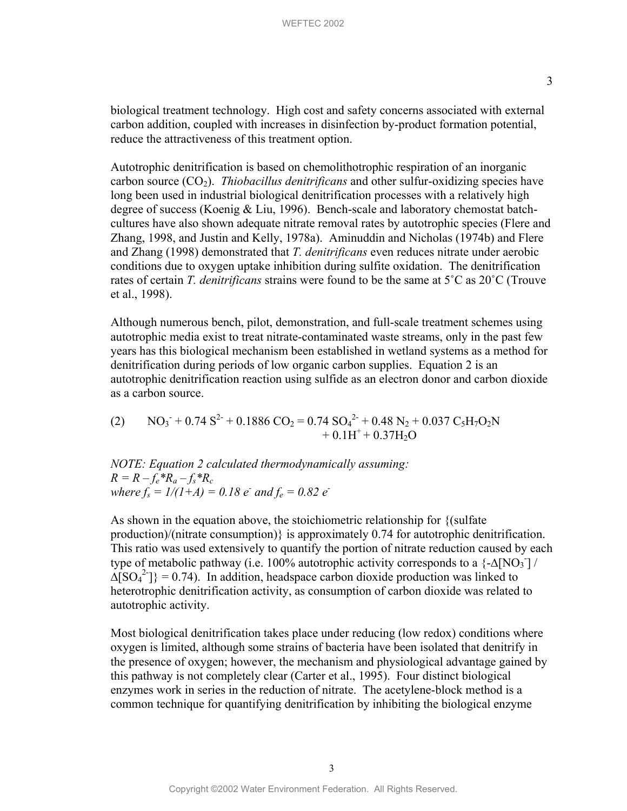biological treatment technology. High cost and safety concerns associated with external carbon addition, coupled with increases in disinfection by-product formation potential, reduce the attractiveness of this treatment option.

Autotrophic denitrification is based on chemolithotrophic respiration of an inorganic carbon source  $(CO_2)$ . *Thiobacillus denitrificans* and other sulfur-oxidizing species have long been used in industrial biological denitrification processes with a relatively high degree of success (Koenig & Liu, 1996). Bench-scale and laboratory chemostat batchcultures have also shown adequate nitrate removal rates by autotrophic species (Flere and Zhang, 1998, and Justin and Kelly, 1978a). Aminuddin and Nicholas (1974b) and Flere and Zhang (1998) demonstrated that *T. denitrificans* even reduces nitrate under aerobic conditions due to oxygen uptake inhibition during sulfite oxidation. The denitrification rates of certain *T. denitrificans* strains were found to be the same at 5˚C as 20˚C (Trouve et al., 1998).

Although numerous bench, pilot, demonstration, and full-scale treatment schemes using autotrophic media exist to treat nitrate-contaminated waste streams, only in the past few years has this biological mechanism been established in wetland systems as a method for denitrification during periods of low organic carbon supplies. Equation 2 is an autotrophic denitrification reaction using sulfide as an electron donor and carbon dioxide as a carbon source.

(2)  $NO_3 + 0.74 S^2 + 0.1886 CO_2 = 0.74 SO_4^{2} + 0.48 N_2 + 0.037 C_5 H_7 O_2 N$  $+ 0.1H^{+} + 0.37H_{2}O$ 

*NOTE: Equation 2 calculated thermodynamically assuming:*   $R = R - f_e * R_a - f_s * R_c$  $where f_s = 1/(1+A) = 0.18$  *e*<sup>-</sup> and  $f_e = 0.82$  *e*<sup>-</sup>

As shown in the equation above, the stoichiometric relationship for {(sulfate production)/(nitrate consumption)} is approximately 0.74 for autotrophic denitrification. This ratio was used extensively to quantify the portion of nitrate reduction caused by each type of metabolic pathway (i.e. 100% autotrophic activity corresponds to a  $\{-\Delta[NO_3]$  /  $\Delta$ [SO<sub>4</sub><sup>2</sup>]} = 0.74). In addition, headspace carbon dioxide production was linked to heterotrophic denitrification activity, as consumption of carbon dioxide was related to autotrophic activity.

Most biological denitrification takes place under reducing (low redox) conditions where oxygen is limited, although some strains of bacteria have been isolated that denitrify in the presence of oxygen; however, the mechanism and physiological advantage gained by this pathway is not completely clear (Carter et al., 1995). Four distinct biological enzymes work in series in the reduction of nitrate. The acetylene-block method is a common technique for quantifying denitrification by inhibiting the biological enzyme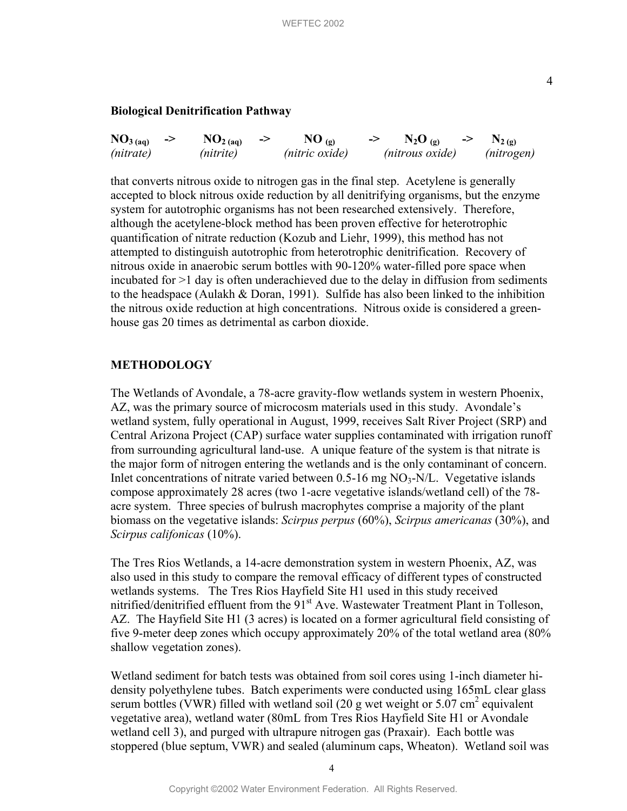## **Biological Denitrification Pathway**

| NO <sub>3</sub> (aq) | $\mathbf{NO}_{2\text{ (aq)}}$ | $NO_{(9)}$     | $N_2O_{(p)}$    | $N_{2(g)}$ |
|----------------------|-------------------------------|----------------|-----------------|------------|
| (nitrate)            | (nitrite)                     | (nitric oxide) | (nitrous oxide) | (nitrogen) |

that converts nitrous oxide to nitrogen gas in the final step. Acetylene is generally accepted to block nitrous oxide reduction by all denitrifying organisms, but the enzyme system for autotrophic organisms has not been researched extensively. Therefore, although the acetylene-block method has been proven effective for heterotrophic quantification of nitrate reduction (Kozub and Liehr, 1999), this method has not attempted to distinguish autotrophic from heterotrophic denitrification. Recovery of nitrous oxide in anaerobic serum bottles with 90-120% water-filled pore space when incubated for >1 day is often underachieved due to the delay in diffusion from sediments to the headspace (Aulakh & Doran, 1991). Sulfide has also been linked to the inhibition the nitrous oxide reduction at high concentrations. Nitrous oxide is considered a greenhouse gas 20 times as detrimental as carbon dioxide.

## **METHODOLOGY**

The Wetlands of Avondale, a 78-acre gravity-flow wetlands system in western Phoenix, AZ, was the primary source of microcosm materials used in this study. Avondale's wetland system, fully operational in August, 1999, receives Salt River Project (SRP) and Central Arizona Project (CAP) surface water supplies contaminated with irrigation runoff from surrounding agricultural land-use. A unique feature of the system is that nitrate is the major form of nitrogen entering the wetlands and is the only contaminant of concern. Inlet concentrations of nitrate varied between  $0.5$ -16 mg  $NO<sub>3</sub>$ -N/L. Vegetative islands compose approximately 28 acres (two 1-acre vegetative islands/wetland cell) of the 78 acre system. Three species of bulrush macrophytes comprise a majority of the plant biomass on the vegetative islands: *Scirpus perpus* (60%), *Scirpus americanas* (30%), and *Scirpus califonicas* (10%).

The Tres Rios Wetlands, a 14-acre demonstration system in western Phoenix, AZ, was also used in this study to compare the removal efficacy of different types of constructed wetlands systems. The Tres Rios Hayfield Site H1 used in this study received nitrified/denitrified effluent from the 91<sup>st</sup> Ave. Wastewater Treatment Plant in Tolleson, AZ. The Hayfield Site H1 (3 acres) is located on a former agricultural field consisting of five 9-meter deep zones which occupy approximately 20% of the total wetland area (80% shallow vegetation zones).

Wetland sediment for batch tests was obtained from soil cores using 1-inch diameter hidensity polyethylene tubes. Batch experiments were conducted using 165mL clear glass serum bottles (VWR) filled with wetland soil (20 g wet weight or  $5.07 \text{ cm}^2$  equivalent vegetative area), wetland water (80mL from Tres Rios Hayfield Site H1 or Avondale wetland cell 3), and purged with ultrapure nitrogen gas (Praxair). Each bottle was stoppered (blue septum, VWR) and sealed (aluminum caps, Wheaton). Wetland soil was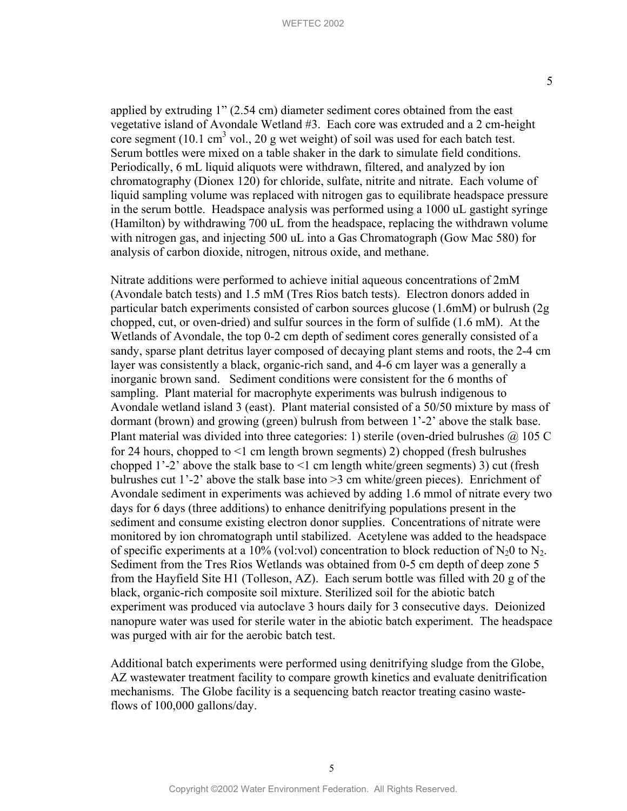applied by extruding 1" (2.54 cm) diameter sediment cores obtained from the east vegetative island of Avondale Wetland #3. Each core was extruded and a 2 cm-height core segment (10.1 cm<sup>3</sup> vol., 20 g wet weight) of soil was used for each batch test. Serum bottles were mixed on a table shaker in the dark to simulate field conditions. Periodically, 6 mL liquid aliquots were withdrawn, filtered, and analyzed by ion chromatography (Dionex 120) for chloride, sulfate, nitrite and nitrate. Each volume of liquid sampling volume was replaced with nitrogen gas to equilibrate headspace pressure in the serum bottle. Headspace analysis was performed using a 1000 uL gastight syringe (Hamilton) by withdrawing 700 uL from the headspace, replacing the withdrawn volume with nitrogen gas, and injecting 500 uL into a Gas Chromatograph (Gow Mac 580) for analysis of carbon dioxide, nitrogen, nitrous oxide, and methane.

Nitrate additions were performed to achieve initial aqueous concentrations of 2mM (Avondale batch tests) and 1.5 mM (Tres Rios batch tests). Electron donors added in particular batch experiments consisted of carbon sources glucose (1.6mM) or bulrush (2g chopped, cut, or oven-dried) and sulfur sources in the form of sulfide (1.6 mM). At the Wetlands of Avondale, the top 0-2 cm depth of sediment cores generally consisted of a sandy, sparse plant detritus layer composed of decaying plant stems and roots, the 2-4 cm layer was consistently a black, organic-rich sand, and 4-6 cm layer was a generally a inorganic brown sand. Sediment conditions were consistent for the 6 months of sampling. Plant material for macrophyte experiments was bulrush indigenous to Avondale wetland island 3 (east). Plant material consisted of a 50/50 mixture by mass of dormant (brown) and growing (green) bulrush from between 1'-2' above the stalk base. Plant material was divided into three categories: 1) sterile (oven-dried bulrushes  $\omega$  105 C for 24 hours, chopped to <1 cm length brown segments) 2) chopped (fresh bulrushes chopped 1'-2' above the stalk base to <1 cm length white/green segments) 3) cut (fresh bulrushes cut 1'-2' above the stalk base into >3 cm white/green pieces). Enrichment of Avondale sediment in experiments was achieved by adding 1.6 mmol of nitrate every two days for 6 days (three additions) to enhance denitrifying populations present in the sediment and consume existing electron donor supplies. Concentrations of nitrate were monitored by ion chromatograph until stabilized. Acetylene was added to the headspace of specific experiments at a 10% (vol:vol) concentration to block reduction of  $N_2$ 0 to  $N_2$ . Sediment from the Tres Rios Wetlands was obtained from 0-5 cm depth of deep zone 5 from the Hayfield Site H1 (Tolleson, AZ). Each serum bottle was filled with 20 g of the black, organic-rich composite soil mixture. Sterilized soil for the abiotic batch experiment was produced via autoclave 3 hours daily for 3 consecutive days. Deionized nanopure water was used for sterile water in the abiotic batch experiment. The headspace was purged with air for the aerobic batch test.

Additional batch experiments were performed using denitrifying sludge from the Globe, AZ wastewater treatment facility to compare growth kinetics and evaluate denitrification mechanisms. The Globe facility is a sequencing batch reactor treating casino wasteflows of 100,000 gallons/day.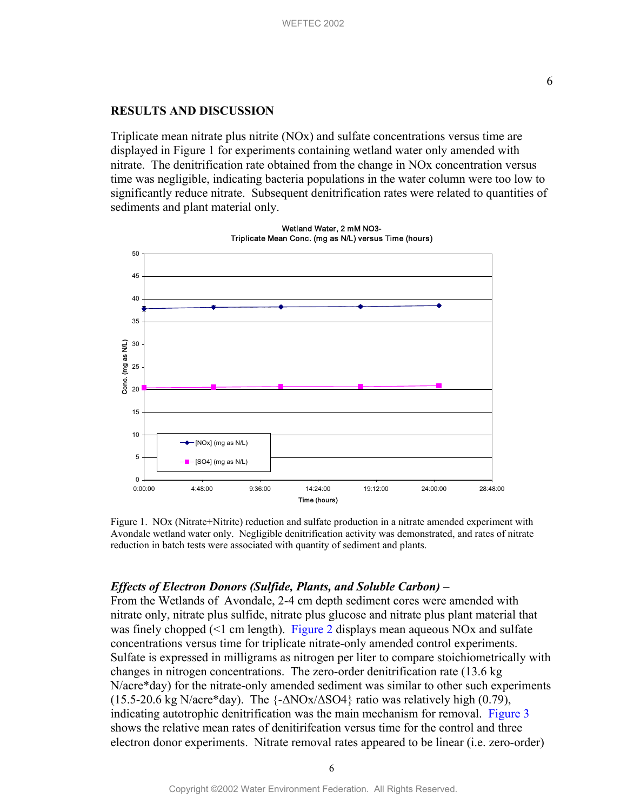### **RESULTS AND DISCUSSION**

Triplicate mean nitrate plus nitrite (NOx) and sulfate concentrations versus time are displayed in Figure 1 for experiments containing wetland water only amended with nitrate. The denitrification rate obtained from the change in NOx concentration versus time was negligible, indicating bacteria populations in the water column were too low to significantly reduce nitrate. Subsequent denitrification rates were related to quantities of sediments and plant material only.



Wetland Water, 2 mM NO3- Triplicate Mean Conc. (mg as N/L) versus Time (hours)

 Figure 1. NOx (Nitrate+Nitrite) reduction and sulfate production in a nitrate amended experiment with Avondale wetland water only. Negligible denitrification activity was demonstrated, and rates of nitrate reduction in batch tests were associated with quantity of sediment and plants.

## *Effects of Electron Donors (Sulfide, Plants, and Soluble Carbon)* –

From the Wetlands of Avondale, 2-4 cm depth sediment cores were amended with nitrate only, nitrate plus sulfide, nitrate plus glucose and nitrate plus plant material that was finely chopped  $(1 \text{ cm length})$ . [Figure](#page-6-0) 2 displays mean aqueous NOx and sulfate concentrations versus time for triplicate nitrate-only amended control experiments. Sulfate is expressed in milligrams as nitrogen per liter to compare stoichiometrically with changes in nitrogen concentrations. The zero-order denitrification rate (13.6 kg N/acre\*day) for the nitrate-only amended sediment was similar to other such experiments (15.5-20.6 kg N/acre\*day). The {-∆NOx/∆SO4} ratio was relatively high (0.79), indicating autotrophic denitrification was the main mechanism for removal. [Figure 3](#page-7-0) shows the relative mean rates of denitirifcation versus time for the control and three electron donor experiments. Nitrate removal rates appeared to be linear (i.e. zero-order)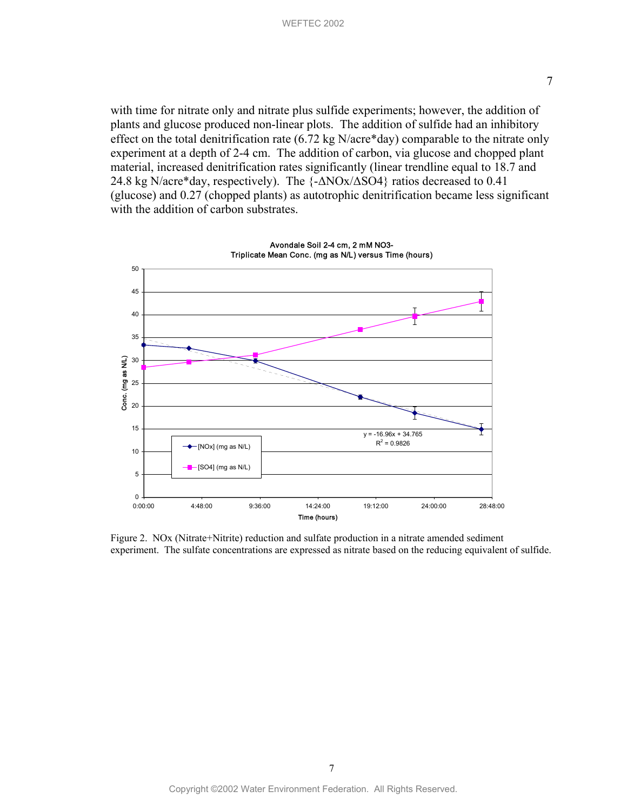<span id="page-6-0"></span>with time for nitrate only and nitrate plus sulfide experiments; however, the addition of plants and glucose produced non-linear plots. The addition of sulfide had an inhibitory effect on the total denitrification rate (6.72 kg N/acre\*day) comparable to the nitrate only experiment at a depth of 2-4 cm. The addition of carbon, via glucose and chopped plant material, increased denitrification rates significantly (linear trendline equal to 18.7 and 24.8 kg N/acre\*day, respectively). The {-∆NOx/∆SO4} ratios decreased to 0.41 (glucose) and 0.27 (chopped plants) as autotrophic denitrification became less significant with the addition of carbon substrates.



Figure 2. NOx (Nitrate+Nitrite) reduction and sulfate production in a nitrate amended sediment experiment. The sulfate concentrations are expressed as nitrate based on the reducing equivalent of sulfide.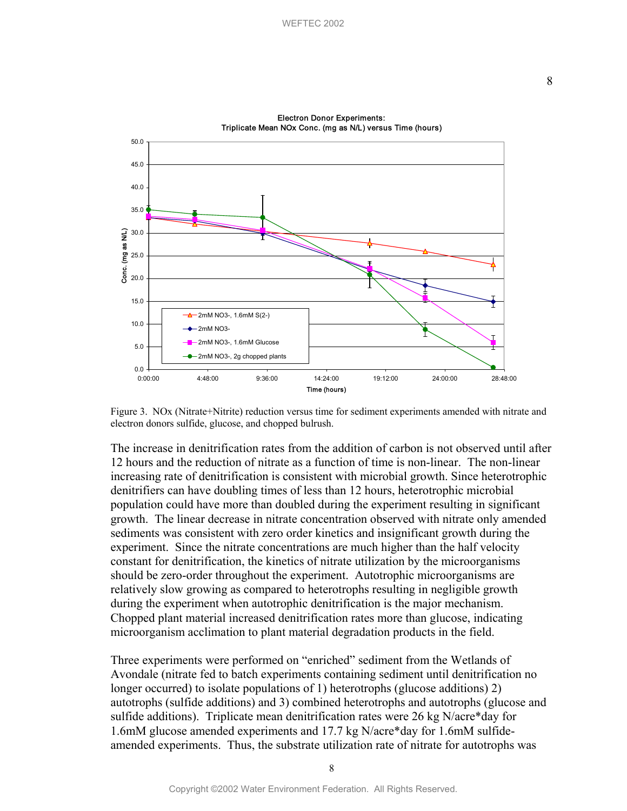<span id="page-7-0"></span>50.0 45.0 40.0 35.0 Conc. (mg as N/L) 30.0 Conc. (mg as N/L) 25.0 20.0 15.0 2mM NO3-, 1.6mM S(2-) 10.0 2mM NO3- 2mM NO3-, 1.6mM Glucose 5.0 2mM NO3-, 2g chopped plants 0.0 0:00:00 4:48:00 9:36:00 14:24:00 19:12:00 24:00:00 28:48:00 Time (hours)

Electron Donor Experiments: Triplicate Mean NOx Conc. (mg as N/L) versus Time (hours)

Figure 3. NOx (Nitrate+Nitrite) reduction versus time for sediment experiments amended with nitrate and electron donors sulfide, glucose, and chopped bulrush.

The increase in denitrification rates from the addition of carbon is not observed until after 12 hours and the reduction of nitrate as a function of time is non-linear. The non-linear increasing rate of denitrification is consistent with microbial growth. Since heterotrophic denitrifiers can have doubling times of less than 12 hours, heterotrophic microbial population could have more than doubled during the experiment resulting in significant growth. The linear decrease in nitrate concentration observed with nitrate only amended sediments was consistent with zero order kinetics and insignificant growth during the experiment. Since the nitrate concentrations are much higher than the half velocity constant for denitrification, the kinetics of nitrate utilization by the microorganisms should be zero-order throughout the experiment. Autotrophic microorganisms are relatively slow growing as compared to heterotrophs resulting in negligible growth during the experiment when autotrophic denitrification is the major mechanism. Chopped plant material increased denitrification rates more than glucose, indicating microorganism acclimation to plant material degradation products in the field.

Three experiments were performed on "enriched" sediment from the Wetlands of Avondale (nitrate fed to batch experiments containing sediment until denitrification no longer occurred) to isolate populations of 1) heterotrophs (glucose additions) 2) autotrophs (sulfide additions) and 3) combined heterotrophs and autotrophs (glucose and sulfide additions). Triplicate mean denitrification rates were 26 kg N/acre\*day for 1.6mM glucose amended experiments and 17.7 kg N/acre\*day for 1.6mM sulfideamended experiments. Thus, the substrate utilization rate of nitrate for autotrophs was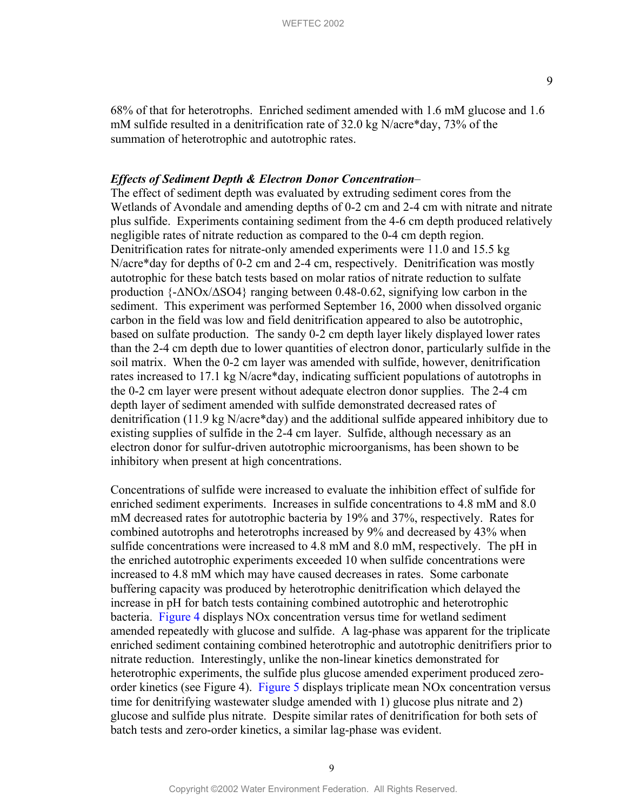68% of that for heterotrophs. Enriched sediment amended with 1.6 mM glucose and 1.6 mM sulfide resulted in a denitrification rate of 32.0 kg N/acre\*day, 73% of the summation of heterotrophic and autotrophic rates.

#### *Effects of Sediment Depth & Electron Donor Concentration*–

The effect of sediment depth was evaluated by extruding sediment cores from the Wetlands of Avondale and amending depths of 0-2 cm and 2-4 cm with nitrate and nitrate plus sulfide. Experiments containing sediment from the 4-6 cm depth produced relatively negligible rates of nitrate reduction as compared to the 0-4 cm depth region. Denitrification rates for nitrate-only amended experiments were 11.0 and 15.5 kg N/acre\*day for depths of 0-2 cm and 2-4 cm, respectively. Denitrification was mostly autotrophic for these batch tests based on molar ratios of nitrate reduction to sulfate production {-∆NOx/∆SO4} ranging between 0.48-0.62, signifying low carbon in the sediment. This experiment was performed September 16, 2000 when dissolved organic carbon in the field was low and field denitrification appeared to also be autotrophic, based on sulfate production. The sandy 0-2 cm depth layer likely displayed lower rates than the 2-4 cm depth due to lower quantities of electron donor, particularly sulfide in the soil matrix. When the 0-2 cm layer was amended with sulfide, however, denitrification rates increased to 17.1 kg N/acre\*day, indicating sufficient populations of autotrophs in the 0-2 cm layer were present without adequate electron donor supplies. The 2-4 cm depth layer of sediment amended with sulfide demonstrated decreased rates of denitrification (11.9 kg N/acre\*day) and the additional sulfide appeared inhibitory due to existing supplies of sulfide in the 2-4 cm layer. Sulfide, although necessary as an electron donor for sulfur-driven autotrophic microorganisms, has been shown to be inhibitory when present at high concentrations.

Concentrations of sulfide were increased to evaluate the inhibition effect of sulfide for enriched sediment experiments. Increases in sulfide concentrations to 4.8 mM and 8.0 mM decreased rates for autotrophic bacteria by 19% and 37%, respectively. Rates for combined autotrophs and heterotrophs increased by 9% and decreased by 43% when sulfide concentrations were increased to 4.8 mM and 8.0 mM, respectively. The pH in the enriched autotrophic experiments exceeded 10 when sulfide concentrations were increased to 4.8 mM which may have caused decreases in rates. Some carbonate buffering capacity was produced by heterotrophic denitrification which delayed the increase in pH for batch tests containing combined autotrophic and heterotrophic bacteria. [Figure 4 d](#page-9-0)isplays NOx concentration versus time for wetland sediment amended repeatedly with glucose and sulfide. A lag-phase was apparent for the triplicate enriched sediment containing combined heterotrophic and autotrophic denitrifiers prior to nitrate reduction. Interestingly, unlike the non-linear kinetics demonstrated for heterotrophic experiments, the sulfide plus glucose amended experiment produced zeroorder kinetics (see Figure 4). [Figure 5 d](#page-9-0)isplays triplicate mean NOx concentration versus time for denitrifying wastewater sludge amended with 1) glucose plus nitrate and 2) glucose and sulfide plus nitrate. Despite similar rates of denitrification for both sets of batch tests and zero-order kinetics, a similar lag-phase was evident.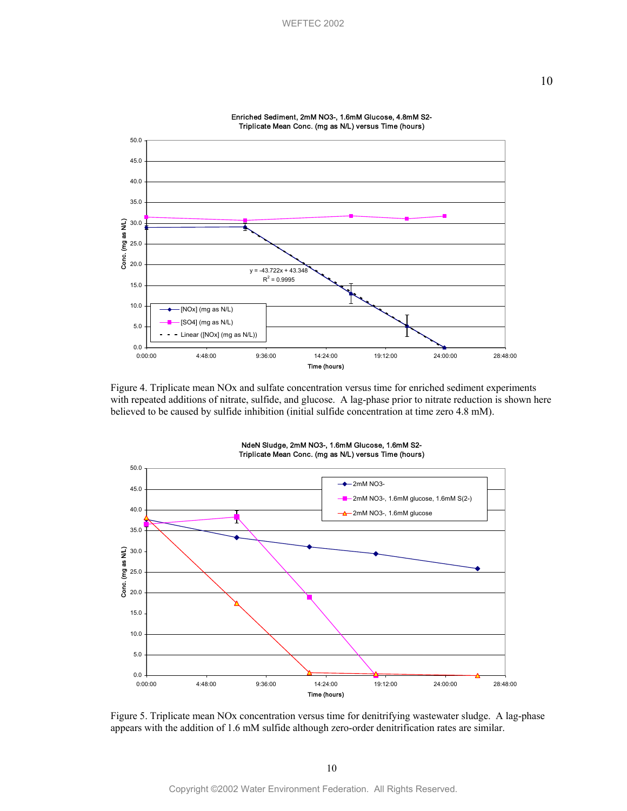<span id="page-9-0"></span>

Enriched Sediment, 2mM NO3-, 1.6mM Glucose, 4.8mM S2-

Figure 4. Triplicate mean NOx and sulfate concentration versus time for enriched sediment experiments with repeated additions of nitrate, sulfide, and glucose. A lag-phase prior to nitrate reduction is shown here believed to be caused by sulfide inhibition (initial sulfide concentration at time zero 4.8 mM).



NdeN Sludge, 2mM NO3-, 1.6mM Glucose, 1.6mM S2- Triplicate Mean Conc. (mg as N/L) versus Time (hours)

Figure 5. Triplicate mean NOx concentration versus time for denitrifying wastewater sludge. A lag-phase appears with the addition of 1.6 mM sulfide although zero-order denitrification rates are similar.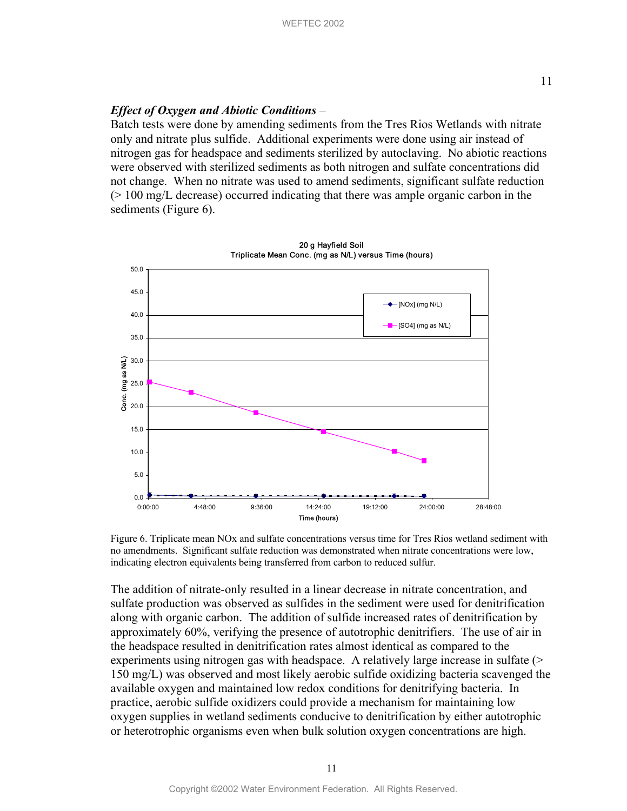## *Effect of Oxygen and Abiotic Conditions –*

Batch tests were done by amending sediments from the Tres Rios Wetlands with nitrate only and nitrate plus sulfide. Additional experiments were done using air instead of nitrogen gas for headspace and sediments sterilized by autoclaving. No abiotic reactions were observed with sterilized sediments as both nitrogen and sulfate concentrations did not change. When no nitrate was used to amend sediments, significant sulfate reduction (> 100 mg/L decrease) occurred indicating that there was ample organic carbon in the sediments (Figure 6).



Figure 6. Triplicate mean NOx and sulfate concentrations versus time for Tres Rios wetland sediment with no amendments. Significant sulfate reduction was demonstrated when nitrate concentrations were low, indicating electron equivalents being transferred from carbon to reduced sulfur.

The addition of nitrate-only resulted in a linear decrease in nitrate concentration, and sulfate production was observed as sulfides in the sediment were used for denitrification along with organic carbon. The addition of sulfide increased rates of denitrification by approximately 60%, verifying the presence of autotrophic denitrifiers. The use of air in the headspace resulted in denitrification rates almost identical as compared to the experiments using nitrogen gas with headspace. A relatively large increase in sulfate (> 150 mg/L) was observed and most likely aerobic sulfide oxidizing bacteria scavenged the available oxygen and maintained low redox conditions for denitrifying bacteria. In practice, aerobic sulfide oxidizers could provide a mechanism for maintaining low oxygen supplies in wetland sediments conducive to denitrification by either autotrophic or heterotrophic organisms even when bulk solution oxygen concentrations are high.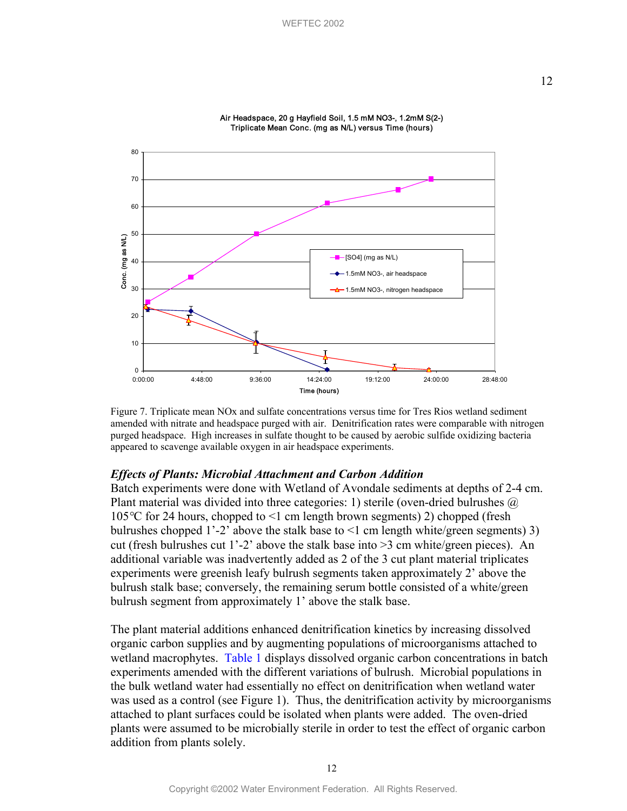

Air Headspace, 20 g Hayfield Soil, 1.5 mM NO3-, 1.2mM S(2-) Triplicate Mean Conc. (mg as N/L) versus Time (hours)

Figure 7. Triplicate mean NOx and sulfate concentrations versus time for Tres Rios wetland sediment amended with nitrate and headspace purged with air. Denitrification rates were comparable with nitrogen purged headspace. High increases in sulfate thought to be caused by aerobic sulfide oxidizing bacteria appeared to scavenge available oxygen in air headspace experiments.

#### *Effects of Plants: Microbial Attachment and Carbon Addition*

Batch experiments were done with Wetland of Avondale sediments at depths of 2-4 cm. Plant material was divided into three categories: 1) sterile (oven-dried bulrushes  $\omega$ ) 105*°*C for 24 hours, chopped to <1 cm length brown segments) 2) chopped (fresh bulrushes chopped 1'-2' above the stalk base to <1 cm length white/green segments) 3) cut (fresh bulrushes cut 1'-2' above the stalk base into >3 cm white/green pieces). An additional variable was inadvertently added as 2 of the 3 cut plant material triplicates experiments were greenish leafy bulrush segments taken approximately 2' above the bulrush stalk base; conversely, the remaining serum bottle consisted of a white/green bulrush segment from approximately 1' above the stalk base.

The plant material additions enhanced denitrification kinetics by increasing dissolved organic carbon supplies and by augmenting populations of microorganisms attached to wetland macrophyte[s. Table 1 d](#page-12-0)isplays dissolved organic carbon concentrations in batch experiments amended with the different variations of bulrush. Microbial populations in the bulk wetland water had essentially no effect on denitrification when wetland water was used as a control (see Figure 1). Thus, the denitrification activity by microorganisms attached to plant surfaces could be isolated when plants were added. The oven-dried plants were assumed to be microbially sterile in order to test the effect of organic carbon addition from plants solely.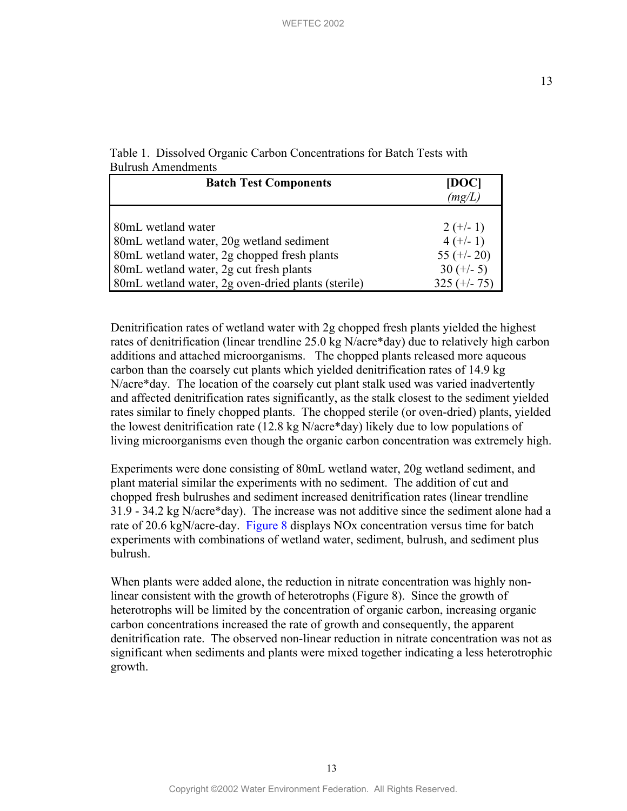13

<span id="page-12-0"></span>

| Table 1. Dissolved Organic Carbon Concentrations for Batch Tests with |  |  |  |
|-----------------------------------------------------------------------|--|--|--|
| <b>Bulrush Amendments</b>                                             |  |  |  |

| <b>Batch Test Components</b>                       | [DOC]<br>(mg/L) |  |  |
|----------------------------------------------------|-----------------|--|--|
| 80mL wetland water                                 | $2 (+/- 1)$     |  |  |
| 80mL wetland water, 20g wetland sediment           | $4 (+/- 1)$     |  |  |
| 80mL wetland water, 2g chopped fresh plants        | 55 $(+/- 20)$   |  |  |
| 80mL wetland water, 2g cut fresh plants            | $30 (+/- 5)$    |  |  |
| 80mL wetland water, 2g oven-dried plants (sterile) | $325 (+/- 75)$  |  |  |

Denitrification rates of wetland water with 2g chopped fresh plants yielded the highest rates of denitrification (linear trendline 25.0 kg N/acre\*day) due to relatively high carbon additions and attached microorganisms. The chopped plants released more aqueous carbon than the coarsely cut plants which yielded denitrification rates of 14.9 kg N/acre\*day. The location of the coarsely cut plant stalk used was varied inadvertently and affected denitrification rates significantly, as the stalk closest to the sediment yielded rates similar to finely chopped plants. The chopped sterile (or oven-dried) plants, yielded the lowest denitrification rate (12.8 kg N/acre\*day) likely due to low populations of living microorganisms even though the organic carbon concentration was extremely high.

Experiments were done consisting of 80mL wetland water, 20g wetland sediment, and plant material similar the experiments with no sediment. The addition of cut and chopped fresh bulrushes and sediment increased denitrification rates (linear trendline 31.9 - 34.2 kg N/acre\*day). The increase was not additive since the sediment alone had a rate of 20.6 kgN/acre-day. [Figure 8](#page-13-0) displays NOx concentration versus time for batch experiments with combinations of wetland water, sediment, bulrush, and sediment plus bulrush.

When plants were added alone, the reduction in nitrate concentration was highly nonlinear consistent with the growth of heterotrophs (Figure 8). Since the growth of heterotrophs will be limited by the concentration of organic carbon, increasing organic carbon concentrations increased the rate of growth and consequently, the apparent denitrification rate. The observed non-linear reduction in nitrate concentration was not as significant when sediments and plants were mixed together indicating a less heterotrophic growth.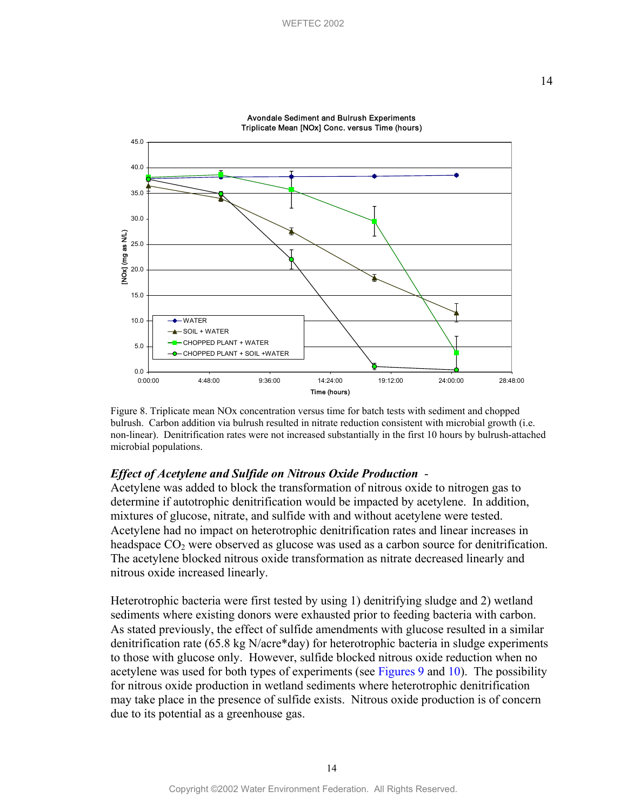<span id="page-13-0"></span>

Avondale Sediment and Bulrush Experiments Triplicate Mean [NOx] Conc. versus Time (hours)

Figure 8. Triplicate mean NOx concentration versus time for batch tests with sediment and chopped bulrush. Carbon addition via bulrush resulted in nitrate reduction consistent with microbial growth (i.e. non-linear). Denitrification rates were not increased substantially in the first 10 hours by bulrush-attached microbial populations.

## *Effect of Acetylene and Sulfide on Nitrous Oxide Production* -

Acetylene was added to block the transformation of nitrous oxide to nitrogen gas to determine if autotrophic denitrification would be impacted by acetylene. In addition, mixtures of glucose, nitrate, and sulfide with and without acetylene were tested. Acetylene had no impact on heterotrophic denitrification rates and linear increases in headspace  $CO<sub>2</sub>$  were observed as glucose was used as a carbon source for denitrification. The acetylene blocked nitrous oxide transformation as nitrate decreased linearly and nitrous oxide increased linearly.

Heterotrophic bacteria were first tested by using 1) denitrifying sludge and 2) wetland sediments where existing donors were exhausted prior to feeding bacteria with carbon. As stated previously, the effect of sulfide amendments with glucose resulted in a similar denitrification rate (65.8 kg N/acre\*day) for heterotrophic bacteria in sludge experiments to those with glucose only. However, sulfide blocked nitrous oxide reduction when no acetylene was used for both types of experiments (see [Figures](#page-14-0) 9 and [10\).](#page-15-0) The possibility for nitrous oxide production in wetland sediments where heterotrophic denitrification may take place in the presence of sulfide exists. Nitrous oxide production is of concern due to its potential as a greenhouse gas.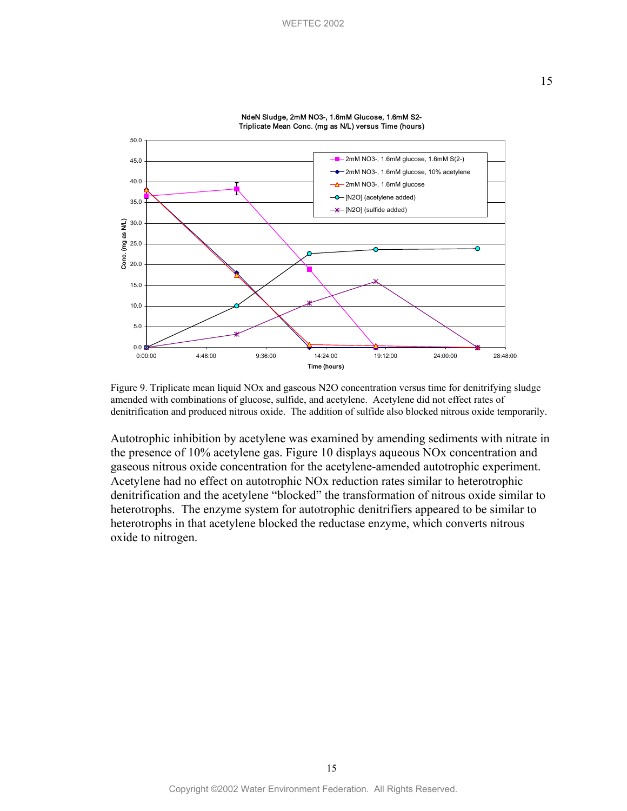<span id="page-14-0"></span>

NdeN Sludge, 2mM NO3-, 1.6mM Glucose, 1.6mM S2- Triplicate Mean Conc. (mg as N/L) versus Time (hours)

Figure 9. Triplicate mean liquid NOx and gaseous N2O concentration versus time for denitrifying sludge amended with combinations of glucose, sulfide, and acetylene. Acetylene did not effect rates of denitrification and produced nitrous oxide. The addition of sulfide also blocked nitrous oxide temporarily.

Autotrophic inhibition by acetylene was examined by amending sediments with nitrate in the presence of 10% acetylene gas. Figure 10 displays aqueous NOx concentration and gaseous nitrous oxide concentration for the acetylene-amended autotrophic experiment. Acetylene had no effect on autotrophic NOx reduction rates similar to heterotrophic denitrification and the acetylene "blocked" the transformation of nitrous oxide similar to heterotrophs. The enzyme system for autotrophic denitrifiers appeared to be similar to heterotrophs in that acetylene blocked the reductase enzyme, which converts nitrous oxide to nitrogen.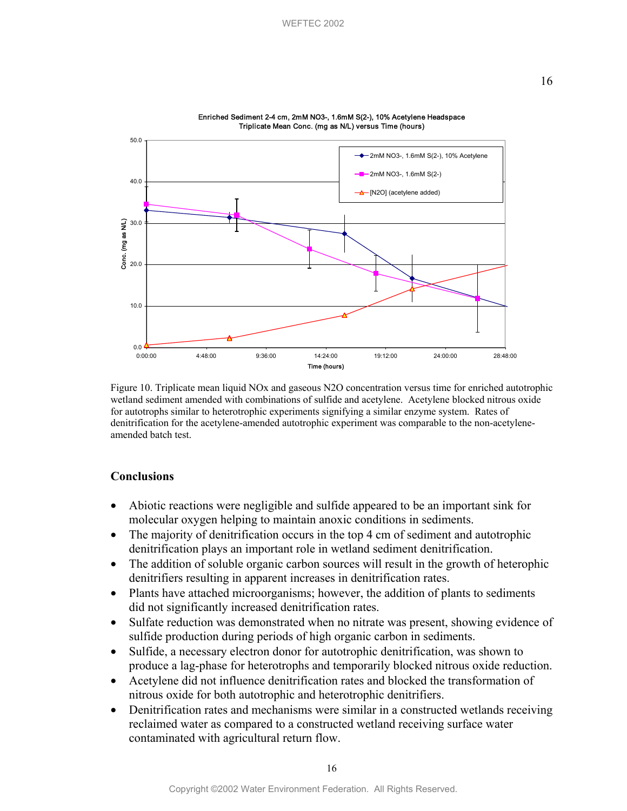<span id="page-15-0"></span>

Enriched Sediment 2-4 cm, 2mM NO3-, 1.6mM S(2-), 10% Acetylene Headspace Triplicate Mean Conc. (mg as N/L) versus Time (hours)

 Figure 10. Triplicate mean liquid NOx and gaseous N2O concentration versus time for enriched autotrophic wetland sediment amended with combinations of sulfide and acetylene. Acetylene blocked nitrous oxide for autotrophs similar to heterotrophic experiments signifying a similar enzyme system. Rates of denitrification for the acetylene-amended autotrophic experiment was comparable to the non-acetyleneamended batch test.

## **Conclusions**

- Abiotic reactions were negligible and sulfide appeared to be an important sink for molecular oxygen helping to maintain anoxic conditions in sediments.
- The majority of denitrification occurs in the top 4 cm of sediment and autotrophic denitrification plays an important role in wetland sediment denitrification.
- The addition of soluble organic carbon sources will result in the growth of heterophic denitrifiers resulting in apparent increases in denitrification rates.
- Plants have attached microorganisms; however, the addition of plants to sediments did not significantly increased denitrification rates.
- Sulfate reduction was demonstrated when no nitrate was present, showing evidence of sulfide production during periods of high organic carbon in sediments.
- Sulfide, a necessary electron donor for autotrophic denitrification, was shown to produce a lag-phase for heterotrophs and temporarily blocked nitrous oxide reduction.
- Acetylene did not influence denitrification rates and blocked the transformation of nitrous oxide for both autotrophic and heterotrophic denitrifiers.
- Denitrification rates and mechanisms were similar in a constructed wetlands receiving reclaimed water as compared to a constructed wetland receiving surface water contaminated with agricultural return flow.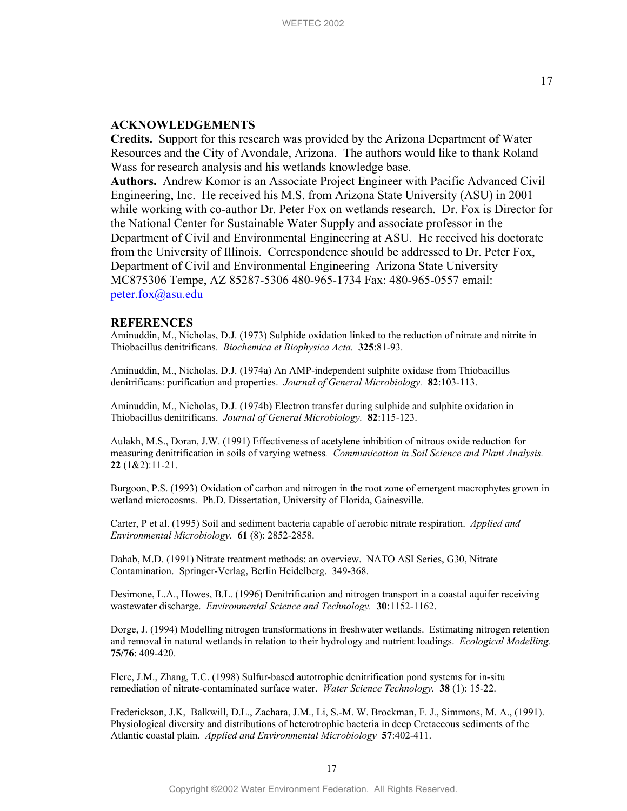#### **ACKNOWLEDGEMENTS**

**Credits.** Support for this research was provided by the Arizona Department of Water Resources and the City of Avondale, Arizona. The authors would like to thank Roland Wass for research analysis and his wetlands knowledge base.

**Authors.** Andrew Komor is an Associate Project Engineer with Pacific Advanced Civil Engineering, Inc. He received his M.S. from Arizona State University (ASU) in 2001 while working with co-author Dr. Peter Fox on wetlands research. Dr. Fox is Director for the National Center for Sustainable Water Supply and associate professor in the Department of Civil and Environmental Engineering at ASU. He received his doctorate from the University of Illinois. Correspondence should be addressed to Dr. Peter Fox, Department of Civil and Environmental Engineering Arizona State University MC875306 Tempe, AZ 85287-5306 480-965-1734 Fax: 480-965-0557 email: [peter.fox@asu.edu](mailto:peter.fox@asu.edu) 

#### **REFERENCES**

Aminuddin, M., Nicholas, D.J. (1973) Sulphide oxidation linked to the reduction of nitrate and nitrite in Thiobacillus denitrificans. *Biochemica et Biophysica Acta.* **325**:81-93.

Aminuddin, M., Nicholas, D.J. (1974a) An AMP-independent sulphite oxidase from Thiobacillus denitrificans: purification and properties. *Journal of General Microbiology.* **82**:103-113.

Aminuddin, M., Nicholas, D.J. (1974b) Electron transfer during sulphide and sulphite oxidation in Thiobacillus denitrificans. *Journal of General Microbiology.* **82**:115-123.

Aulakh, M.S., Doran, J.W. (1991) Effectiveness of acetylene inhibition of nitrous oxide reduction for measuring denitrification in soils of varying wetness*. Communication in Soil Science and Plant Analysis.*  **22** (1&2):11-21.

Burgoon, P.S. (1993) Oxidation of carbon and nitrogen in the root zone of emergent macrophytes grown in wetland microcosms. Ph.D. Dissertation, University of Florida, Gainesville.

Carter, P et al. (1995) Soil and sediment bacteria capable of aerobic nitrate respiration. *Applied and Environmental Microbiology.* **61** (8): 2852-2858.

Dahab, M.D. (1991) Nitrate treatment methods: an overview. NATO ASI Series, G30, Nitrate Contamination. Springer-Verlag, Berlin Heidelberg. 349-368.

Desimone, L.A., Howes, B.L. (1996) Denitrification and nitrogen transport in a coastal aquifer receiving wastewater discharge. *Environmental Science and Technology.* **30**:1152-1162.

Dorge, J. (1994) Modelling nitrogen transformations in freshwater wetlands. Estimating nitrogen retention and removal in natural wetlands in relation to their hydrology and nutrient loadings. *Ecological Modelling.* **75/76**: 409-420.

Flere, J.M., Zhang, T.C. (1998) Sulfur-based autotrophic denitrification pond systems for in-situ remediation of nitrate-contaminated surface water. *Water Science Technology.* **38** (1): 15-22.

Frederickson, J.K, Balkwill, D.L., Zachara, J.M., Li, S.-M. W. Brockman, F. J., Simmons, M. A., (1991). Physiological diversity and distributions of heterotrophic bacteria in deep Cretaceous sediments of the Atlantic coastal plain. *Applied and Environmental Microbiology* **57**:402-411.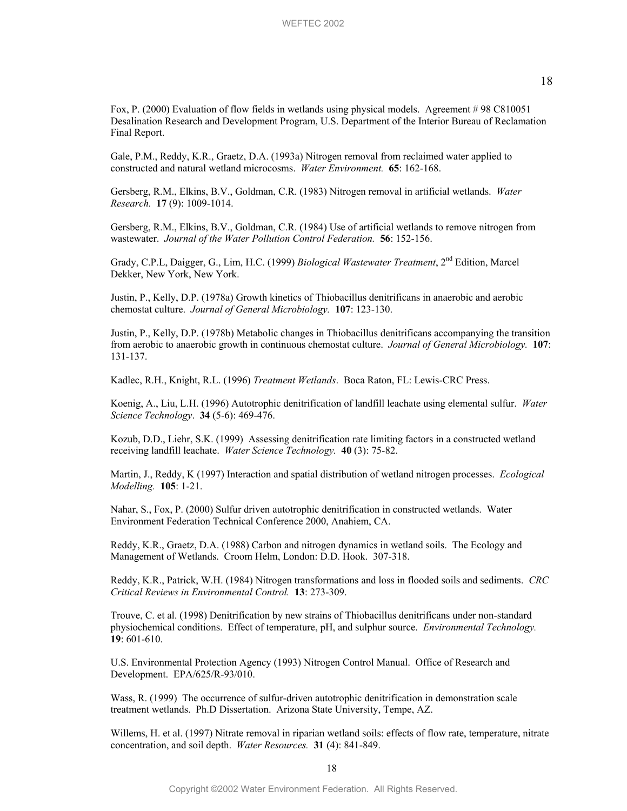Gale, P.M., Reddy, K.R., Graetz, D.A. (1993a) Nitrogen removal from reclaimed water applied to constructed and natural wetland microcosms. *Water Environment.* **65**: 162-168.

Gersberg, R.M., Elkins, B.V., Goldman, C.R. (1983) Nitrogen removal in artificial wetlands. *Water Research.* **17** (9): 1009-1014.

Gersberg, R.M., Elkins, B.V., Goldman, C.R. (1984) Use of artificial wetlands to remove nitrogen from wastewater. *Journal of the Water Pollution Control Federation.* **56**: 152-156.

Grady, C.P.L, Daigger, G., Lim, H.C. (1999) *Biological Wastewater Treatment*, 2nd Edition, Marcel Dekker, New York, New York.

Justin, P., Kelly, D.P. (1978a) Growth kinetics of Thiobacillus denitrificans in anaerobic and aerobic chemostat culture. *Journal of General Microbiology.* **107**: 123-130.

Justin, P., Kelly, D.P. (1978b) Metabolic changes in Thiobacillus denitrificans accompanying the transition from aerobic to anaerobic growth in continuous chemostat culture. *Journal of General Microbiology.* **107**: 131-137.

Kadlec, R.H., Knight, R.L. (1996) *Treatment Wetlands*. Boca Raton, FL: Lewis-CRC Press.

Koenig, A., Liu, L.H. (1996) Autotrophic denitrification of landfill leachate using elemental sulfur. *Water Science Technology*. **34** (5-6): 469-476.

Kozub, D.D., Liehr, S.K. (1999) Assessing denitrification rate limiting factors in a constructed wetland receiving landfill leachate. *Water Science Technology.* **40** (3): 75-82.

Martin, J., Reddy, K (1997) Interaction and spatial distribution of wetland nitrogen processes. *Ecological Modelling.* **105**: 1-21.

Nahar, S., Fox, P. (2000) Sulfur driven autotrophic denitrification in constructed wetlands. Water Environment Federation Technical Conference 2000, Anahiem, CA.

Reddy, K.R., Graetz, D.A. (1988) Carbon and nitrogen dynamics in wetland soils. The Ecology and Management of Wetlands. Croom Helm, London: D.D. Hook. 307-318.

Reddy, K.R., Patrick, W.H. (1984) Nitrogen transformations and loss in flooded soils and sediments. *CRC Critical Reviews in Environmental Control.* **13**: 273-309.

Trouve, C. et al. (1998) Denitrification by new strains of Thiobacillus denitrificans under non-standard physiochemical conditions. Effect of temperature, pH, and sulphur source. *Environmental Technology.* **19**: 601-610.

U.S. Environmental Protection Agency (1993) Nitrogen Control Manual. Office of Research and Development. EPA/625/R-93/010.

Wass, R. (1999) The occurrence of sulfur-driven autotrophic denitrification in demonstration scale treatment wetlands. Ph.D Dissertation. Arizona State University, Tempe, AZ.

Willems, H. et al. (1997) Nitrate removal in riparian wetland soils: effects of flow rate, temperature, nitrate concentration, and soil depth. *Water Resources.* **31** (4): 841-849.